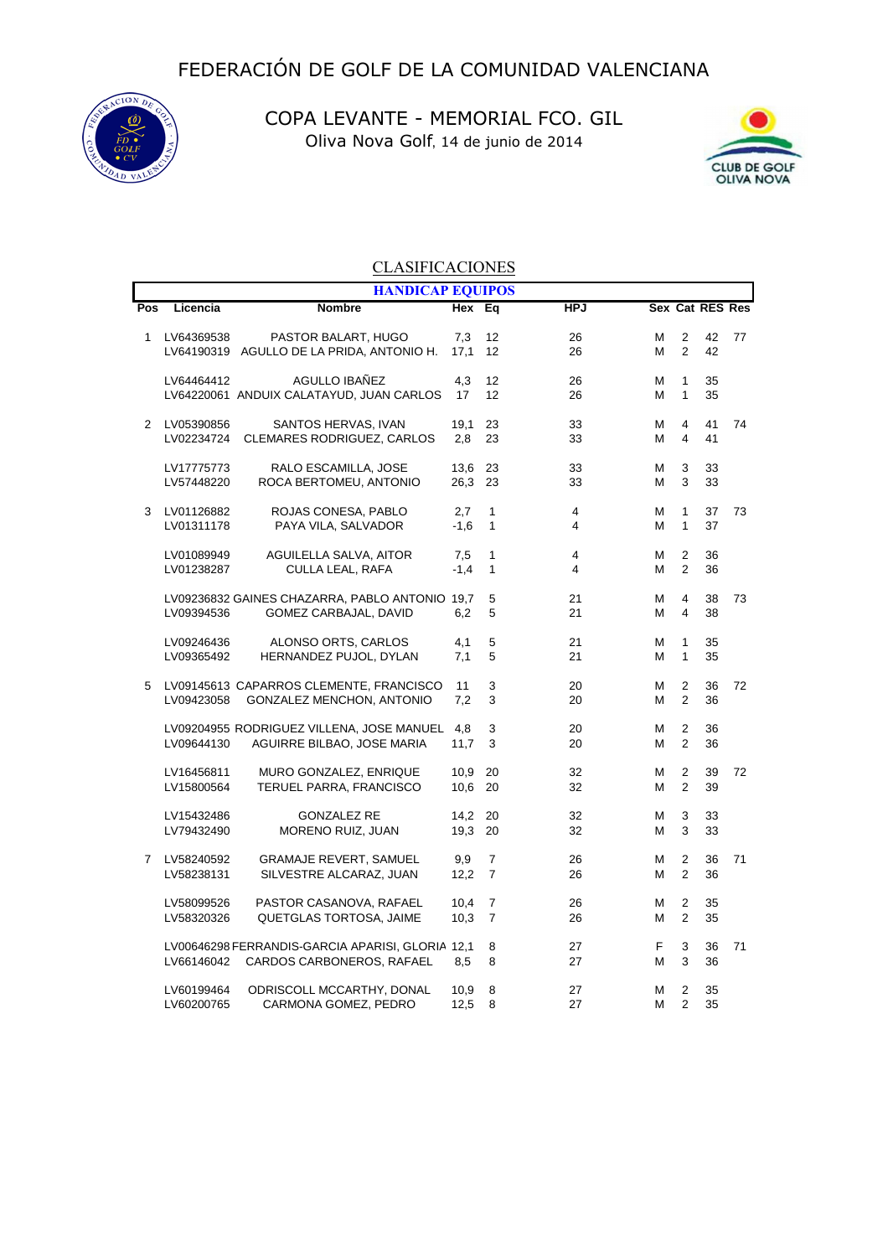

COPA LEVANTE - MEMORIAL FCO. GIL Oliva Nova Golf, 14 de junio de 2014



## **CLASIFICACIONES**

|                |            | <b>HANDICAP EQUIPOS</b>                          |        |                |            |   |                |                 |    |
|----------------|------------|--------------------------------------------------|--------|----------------|------------|---|----------------|-----------------|----|
| Pos            | Licencia   | <b>Nombre</b>                                    | Hex Eq |                | <b>HPJ</b> |   |                | Sex Cat RES Res |    |
| 1              | LV64369538 | PASTOR BALART, HUGO                              | 7,3    | 12             | 26         | м | 2              | 42              | 77 |
|                |            | LV64190319 AGULLO DE LA PRIDA, ANTONIO H.        | 17.1   | 12             | 26         | М | 2              | 42              |    |
|                | LV64464412 | AGULLO IBAÑEZ                                    | 4,3    | 12             | 26         | М | 1              | 35              |    |
|                |            | LV64220061 ANDUIX CALATAYUD, JUAN CARLOS         | 17     | 12             | 26         | м | 1              | 35              |    |
| 2              | LV05390856 | SANTOS HERVAS, IVAN                              | 19.1   | 23             | 33         | М | $\overline{4}$ | 41              | 74 |
|                | LV02234724 | <b>CLEMARES RODRIGUEZ, CARLOS</b>                | 2,8    | 23             | 33         | Μ | $\overline{4}$ | 41              |    |
|                | LV17775773 | RALO ESCAMILLA, JOSE                             | 13,6   | 23             | 33         | м | 3              | 33              |    |
|                | LV57448220 | ROCA BERTOMEU, ANTONIO                           | 26,3   | 23             | 33         | м | 3              | 33              |    |
| 3              | LV01126882 | ROJAS CONESA, PABLO                              | 2,7    | 1              | 4          | М | 1              | 37              | 73 |
|                | LV01311178 | PAYA VILA, SALVADOR                              | $-1,6$ | $\mathbf{1}$   | 4          | М | 1              | 37              |    |
|                | LV01089949 | <b>AGUILELLA SALVA, AITOR</b>                    | 7,5    | $\mathbf{1}$   | 4          | м | 2              | 36              |    |
|                | LV01238287 | CULLA LEAL, RAFA                                 | $-1.4$ | $\mathbf{1}$   | 4          | М | 2              | 36              |    |
|                |            | LV09236832 GAINES CHAZARRA, PABLO ANTONIO 19,7   |        | 5              | 21         | Μ | $\overline{4}$ | 38              | 73 |
|                | LV09394536 | GOMEZ CARBAJAL, DAVID                            | 6,2    | 5              | 21         | м | 4              | 38              |    |
|                | LV09246436 | ALONSO ORTS, CARLOS                              | 4,1    | 5              | 21         | М | $\mathbf{1}$   | 35              |    |
|                | LV09365492 | HERNANDEZ PUJOL, DYLAN                           | 7,1    | 5              | 21         | Μ | 1              | 35              |    |
| 5              |            | LV09145613 CAPARROS CLEMENTE, FRANCISCO          | 11     | 3              | 20         | м | 2              | 36              | 72 |
|                | LV09423058 | GONZALEZ MENCHON, ANTONIO                        | 7,2    | 3              | 20         | м | 2              | 36              |    |
|                |            | LV09204955 RODRIGUEZ VILLENA, JOSE MANUEL        | 4,8    | 3              | 20         | М | 2              | 36              |    |
|                | LV09644130 | AGUIRRE BILBAO, JOSE MARIA                       | 11,7   | 3              | 20         | м | $\overline{2}$ | 36              |    |
|                | LV16456811 | MURO GONZALEZ, ENRIQUE                           | 10.9   | 20             | 32         | М | 2              | 39              | 72 |
|                | LV15800564 | TERUEL PARRA, FRANCISCO                          | 10,6   | 20             | 32         | М | 2              | 39              |    |
|                | LV15432486 | <b>GONZALEZ RE</b>                               | 14,2   | 20             | 32         | М | 3              | 33              |    |
|                | LV79432490 | <b>MORENO RUIZ, JUAN</b>                         | 19.3   | 20             | 32         | М | 3              | 33              |    |
| $\overline{7}$ | LV58240592 | <b>GRAMAJE REVERT, SAMUEL</b>                    | 9,9    | $\overline{7}$ | 26         | М | 2              | 36              | 71 |
|                | LV58238131 | SILVESTRE ALCARAZ, JUAN                          | 12,2   | $\overline{7}$ | 26         | м | 2              | 36              |    |
|                | LV58099526 | PASTOR CASANOVA, RAFAEL                          | 10,4   | $\overline{7}$ | 26         | м | 2              | 35              |    |
|                | LV58320326 | QUETGLAS TORTOSA, JAIME                          | 10,3   | $\overline{7}$ | 26         | М | 2              | 35              |    |
|                |            | LV00646298 FERRANDIS-GARCIA APARISI, GLORIA 12,1 |        | 8              | 27         | F | 3              | 36              | 71 |
|                | LV66146042 | CARDOS CARBONEROS, RAFAEL                        | 8,5    | 8              | 27         | М | 3              | 36              |    |
|                | LV60199464 | ODRISCOLL MCCARTHY, DONAL                        | 10,9   | 8              | 27         | Μ | $\overline{2}$ | 35              |    |
|                | LV60200765 | CARMONA GOMEZ, PEDRO                             | 12,5   | 8              | 27         | Μ | $\overline{2}$ | 35              |    |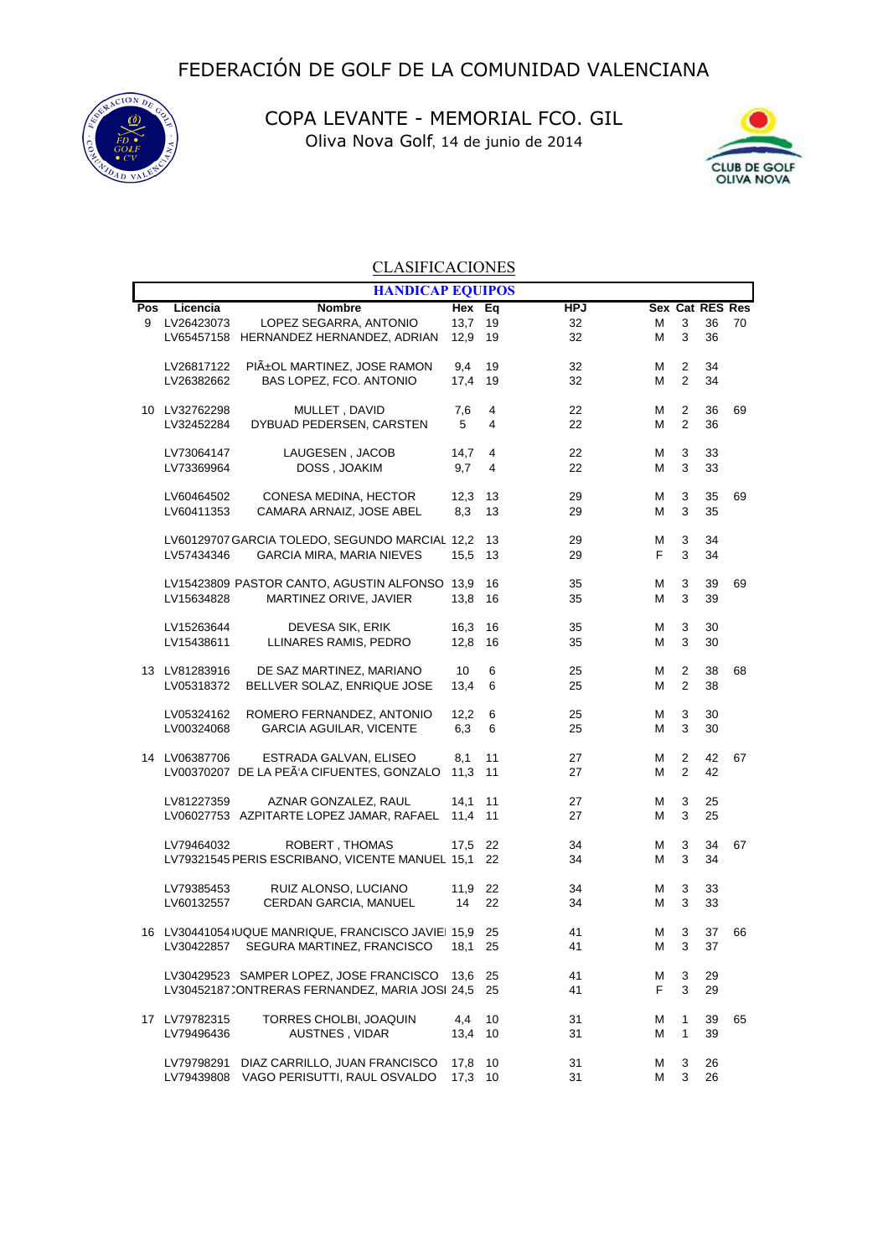

COPA LEVANTE - MEMORIAL FCO. GIL Oliva Nova Golf, 14 de junio de 2014



## **CLASIFICACIONES**

|     | <b>HANDICAP EQUIPOS</b> |                                                    |         |                |            |    |                |                 |    |  |  |
|-----|-------------------------|----------------------------------------------------|---------|----------------|------------|----|----------------|-----------------|----|--|--|
| Pos | Licencia                | <b>Nombre</b>                                      | Hex     | Eq             | <b>HPJ</b> |    |                | Sex Cat RES Res |    |  |  |
| 9   | LV26423073              | LOPEZ SEGARRA, ANTONIO                             | 13,7    | 19             | 32         | м  | 3              | 36              | 70 |  |  |
|     |                         | LV65457158 HERNANDEZ HERNANDEZ, ADRIAN             | 12,9    | 19             | 32         | М  | 3              | 36              |    |  |  |
|     | LV26817122              | PIıOL MARTINEZ, JOSE RAMON                         | 9,4     | 19             | 32         | М  | 2              | 34              |    |  |  |
|     | LV26382662              | BAS LOPEZ, FCO. ANTONIO                            | 17,4    | 19             | 32         | М  | $\overline{2}$ | 34              |    |  |  |
|     | 10 LV32762298           | MULLET, DAVID                                      | 7,6     | 4              | 22         | М  | $\overline{2}$ | 36              | 69 |  |  |
|     | LV32452284              | DYBUAD PEDERSEN, CARSTEN                           | 5       | $\overline{4}$ | 22         | м  | $\overline{2}$ | 36              |    |  |  |
|     | LV73064147              | LAUGESEN, JACOB                                    | 14,7    | 4              | 22         | М  | 3              | 33              |    |  |  |
|     | LV73369964              | DOSS, JOAKIM                                       | 9,7     | 4              | 22         | м  | 3              | 33              |    |  |  |
|     | LV60464502              | CONESA MEDINA, HECTOR                              | 12,3    | 13             | 29         | Μ  | 3              | 35              | 69 |  |  |
|     | LV60411353              | CAMARA ARNAIZ, JOSE ABEL                           | 8,3     | 13             | 29         | м  | 3              | 35              |    |  |  |
|     |                         | LV60129707 GARCIA TOLEDO, SEGUNDO MARCIAL 12,2     |         | 13             | 29         | Μ  | 3              | 34              |    |  |  |
|     | LV57434346              | <b>GARCIA MIRA, MARIA NIEVES</b>                   | 15,5    | 13             | 29         | F  | 3              | 34              |    |  |  |
|     |                         | LV15423809 PASTOR CANTO, AGUSTIN ALFONSO 13,9      |         | 16             | 35         | Μ  | 3              | 39              | 69 |  |  |
|     | LV15634828              | MARTINEZ ORIVE, JAVIER                             | 13,8    | 16             | 35         | м  | 3              | 39              |    |  |  |
|     | LV15263644              | DEVESA SIK, ERIK                                   | 16,3    | 16             | 35         | М  | 3              | 30              |    |  |  |
|     | LV15438611              | LLINARES RAMIS, PEDRO                              | 12,8    | 16             | 35         | м  | 3              | 30              |    |  |  |
|     | 13 LV81283916           | DE SAZ MARTINEZ, MARIANO                           | 10      | 6              | 25         | М  | 2              | 38              | 68 |  |  |
|     | LV05318372              | BELLVER SOLAZ, ENRIQUE JOSE                        | 13,4    | 6              | 25         | м  | $\overline{2}$ | 38              |    |  |  |
|     | LV05324162              | ROMERO FERNANDEZ, ANTONIO                          | 12,2    | 6              | 25         | М  | 3              | 30              |    |  |  |
|     | LV00324068              | <b>GARCIA AGUILAR, VICENTE</b>                     | 6,3     | 6              | 25         | м  | 3              | 30              |    |  |  |
|     | 14 LV06387706           | ESTRADA GALVAN, ELISEO                             | 8,1     | 11             | 27         | М  | 2              | 42              | 67 |  |  |
|     |                         | LV00370207 DE LA PEÃ'A CIFUENTES, GONZALO          | 11,3    | 11             | 27         | м  | 2              | 42              |    |  |  |
|     | LV81227359              | AZNAR GONZALEZ, RAUL                               | 14,1    | 11             | 27         | М  | 3              | 25              |    |  |  |
|     |                         | LV06027753 AZPITARTE LOPEZ JAMAR, RAFAEL           | 11,4    | 11             | 27         | м  | 3              | 25              |    |  |  |
|     | LV79464032              | ROBERT, THOMAS                                     | 17,5    | 22             | 34         | м  | 3              | 34              | 67 |  |  |
|     |                         | LV79321545 PERIS ESCRIBANO, VICENTE MANUEL 15,1    |         | 22             | 34         | м  | 3              | 34              |    |  |  |
|     | LV79385453              | RUIZ ALONSO, LUCIANO                               | 11,9    | 22             | 34         | м  | 3              | 33              |    |  |  |
|     | LV60132557              | CERDAN GARCIA, MANUEL                              | 14      | 22             | 34         | м  | 3              | 33              |    |  |  |
|     |                         | 16 LV30441054) UQUE MANRIQUE, FRANCISCO JAVIE 15,9 |         | 25             | 41         | М  | 3              | 37              | 66 |  |  |
|     |                         | LV30422857 SEGURA MARTINEZ, FRANCISCO 18,1         |         | 25             | 41         | M  | 3              | 37              |    |  |  |
|     |                         | LV30429523 SAMPER LOPEZ, JOSE FRANCISCO 13,6       |         | 25             | 41         | м  | 3              | 29              |    |  |  |
|     |                         | LV30452187 CONTRERAS FERNANDEZ, MARIA JOSI 24,5    |         | 25             | 41         | F. | 3              | 29              |    |  |  |
|     | 17 LV79782315           | TORRES CHOLBI, JOAQUIN                             | 4,4     | 10             | 31         | м  | 1              | 39              | 65 |  |  |
|     | LV79496436              | AUSTNES, VIDAR                                     | 13,4    | 10             | 31         | м  | 1              | 39              |    |  |  |
|     | LV79798291              | DIAZ CARRILLO, JUAN FRANCISCO                      | 17,8    | 10             | 31         | м  | 3              | 26              |    |  |  |
|     | LV79439808              | VAGO PERISUTTI, RAUL OSVALDO                       | 17,3 10 |                | 31         | м  | 3              | 26              |    |  |  |